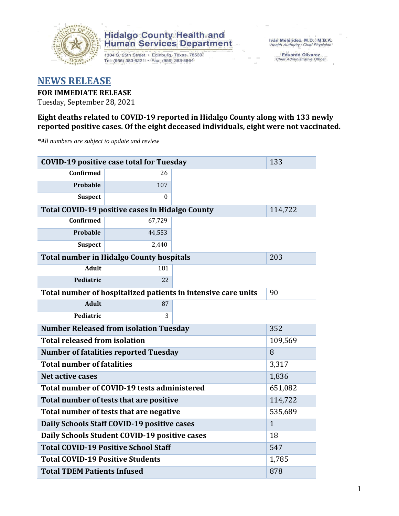

# **Hidalgo County Health and<br>Human Services Department**

1304 S. 25th Street · Edinburg, Texas 78539 Tel: (956) 383-6221 · Fax: (956) 383-8864

Iván Meléndez, M.D., M.B.A. Health Authority / Chief Physician

Eduardo Olivarez<br>Chief Administrative Officer

## **NEWS RELEASE**

**FOR IMMEDIATE RELEASE** Tuesday, September 28, 2021

### **Eight deaths related to COVID-19 reported in Hidalgo County along with 133 newly reported positive cases. Of the eight deceased individuals, eight were not vaccinated.**

*\*All numbers are subject to update and review*

| <b>COVID-19 positive case total for Tuesday</b>               | 133                                                    |  |         |  |  |  |
|---------------------------------------------------------------|--------------------------------------------------------|--|---------|--|--|--|
| Confirmed                                                     | 26                                                     |  |         |  |  |  |
| Probable                                                      | 107                                                    |  |         |  |  |  |
| <b>Suspect</b>                                                | 0                                                      |  |         |  |  |  |
|                                                               | <b>Total COVID-19 positive cases in Hidalgo County</b> |  | 114,722 |  |  |  |
| <b>Confirmed</b>                                              | 67,729                                                 |  |         |  |  |  |
| Probable                                                      | 44,553                                                 |  |         |  |  |  |
| <b>Suspect</b>                                                | 2,440                                                  |  |         |  |  |  |
| <b>Total number in Hidalgo County hospitals</b>               | 203                                                    |  |         |  |  |  |
| <b>Adult</b>                                                  | 181                                                    |  |         |  |  |  |
| Pediatric                                                     | 22                                                     |  |         |  |  |  |
| Total number of hospitalized patients in intensive care units | 90                                                     |  |         |  |  |  |
| <b>Adult</b>                                                  | 87                                                     |  |         |  |  |  |
| Pediatric                                                     | 3                                                      |  |         |  |  |  |
| <b>Number Released from isolation Tuesday</b>                 | 352                                                    |  |         |  |  |  |
| <b>Total released from isolation</b><br>109,569               |                                                        |  |         |  |  |  |
| <b>Number of fatalities reported Tuesday</b>                  | 8                                                      |  |         |  |  |  |
| <b>Total number of fatalities</b>                             | 3,317                                                  |  |         |  |  |  |
| <b>Net active cases</b>                                       | 1,836                                                  |  |         |  |  |  |
| Total number of COVID-19 tests administered                   | 651,082                                                |  |         |  |  |  |
| Total number of tests that are positive                       | 114,722                                                |  |         |  |  |  |
| Total number of tests that are negative                       | 535,689                                                |  |         |  |  |  |
| Daily Schools Staff COVID-19 positive cases                   | $\mathbf{1}$                                           |  |         |  |  |  |
| Daily Schools Student COVID-19 positive cases                 | 18                                                     |  |         |  |  |  |
| <b>Total COVID-19 Positive School Staff</b>                   | 547                                                    |  |         |  |  |  |
| <b>Total COVID-19 Positive Students</b>                       | 1,785                                                  |  |         |  |  |  |
| <b>Total TDEM Patients Infused</b>                            | 878                                                    |  |         |  |  |  |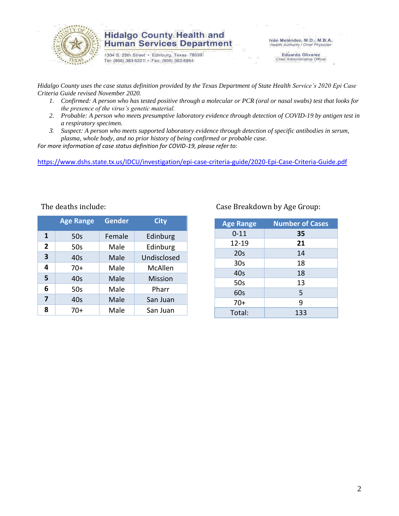

### **Hidalgo County Health and Human Services Department**

1304 S. 25th Street · Edinburg, Texas 78539 Tel: (956) 383-6221 · Fax: (956) 383-8864

Iván Meléndez, M.D., M.B.A. Health Authority / Chief Physician

Eduardo Olivarez<br>Chief Administrative Officer

*Hidalgo County uses the case status definition provided by the Texas Department of State Health Service's 2020 Epi Case Criteria Guide revised November 2020.*

- *1. Confirmed: A person who has tested positive through a molecular or PCR (oral or nasal swabs) test that looks for the presence of the virus's genetic material.*
- *2. Probable: A person who meets presumptive laboratory evidence through detection of COVID-19 by antigen test in a respiratory specimen.*
- *3. Suspect: A person who meets supported laboratory evidence through detection of specific antibodies in serum, plasma, whole body, and no prior history of being confirmed or probable case.*

*For more information of case status definition for COVID-19, please refer to:*

<https://www.dshs.state.tx.us/IDCU/investigation/epi-case-criteria-guide/2020-Epi-Case-Criteria-Guide.pdf>

|                | <b>Age Range</b> | Gender | <b>City</b>    |
|----------------|------------------|--------|----------------|
| 1              | 50s              | Female | Edinburg       |
| $\overline{2}$ | 50s              | Male   | Edinburg       |
| 3              | 40s              | Male   | Undisclosed    |
| 4              | $70+$            | Male   | McAllen        |
| 5              | 40s              | Male   | <b>Mission</b> |
| 6              | 50s              | Male   | Pharr          |
| 7              | 40s              | Male   | San Juan       |
| 8              | 70+              | Male   | San Juan       |

#### Case Breakdown by Age Group:

| <b>Age Range</b> | <b>Number of Cases</b> |
|------------------|------------------------|
| $0 - 11$         | 35                     |
| 12-19            | 21                     |
| 20s              | 14                     |
| 30 <sub>s</sub>  | 18                     |
| 40s              | 18                     |
| 50s              | 13                     |
| 60s              | 5                      |
| $70+$            | 9                      |
| Total:           | 133                    |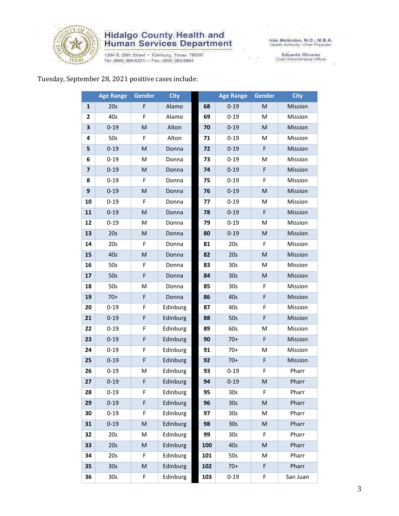

# **Hidalgo County Health and<br>Human Services Department**

1304 S. 25th Street • Edinburg, Texas 78539<br>Tel: (956) 383-6221 • Fax: (956) 383-8864

Iván Meléndez, M.D., M.B.A.<br>Health Authority / Chief Physician

Eduardo Olivarez<br>Chief Administrative Officer

### Tuesday, September 28, 2021 positive cases include:

|                         | <b>Age Range</b> | Gender    | <b>City</b> |     | <b>Age Range</b> | <b>Gender</b>                                                                                              | <b>City</b> |
|-------------------------|------------------|-----------|-------------|-----|------------------|------------------------------------------------------------------------------------------------------------|-------------|
| 1                       | 20s              | F         | Alamo       | 68  | $0 - 19$         | ${\sf M}$                                                                                                  | Mission     |
| $\mathbf{2}$            | 40s              | F         | Alamo       | 69  | $0 - 19$         | M                                                                                                          | Mission     |
| 3                       | $0 - 19$         | M         | Alton       | 70  | $0 - 19$         | M                                                                                                          | Mission     |
| 4                       | 50s              | F         | Alton       | 71  | $0 - 19$         | M                                                                                                          | Mission     |
| 5                       | $0 - 19$         | M         | Donna       | 72  | $0 - 19$         | F                                                                                                          | Mission     |
| 6                       | $0 - 19$         | M         | Donna       | 73  | $0 - 19$         | M                                                                                                          | Mission     |
| $\overline{\mathbf{z}}$ | $0 - 19$         | M         | Donna       | 74  | $0 - 19$         | $\mathsf F$                                                                                                | Mission     |
| 8                       | $0 - 19$         | F         | Donna       | 75  | $0 - 19$         | F                                                                                                          | Mission     |
| $\boldsymbol{9}$        | $0 - 19$         | ${\sf M}$ | Donna       | 76  | $0 - 19$         | $\mathsf{M}% _{T}=\mathsf{M}_{T}\!\left( a,b\right) ,\ \mathsf{M}_{T}=\mathsf{M}_{T}\!\left( a,b\right) ,$ | Mission     |
| 10                      | $0 - 19$         | F         | Donna       | 77  | $0 - 19$         | M                                                                                                          | Mission     |
| 11                      | $0 - 19$         | ${\sf M}$ | Donna       | 78  | $0 - 19$         | $\mathsf F$                                                                                                | Mission     |
| 12                      | $0 - 19$         | M         | Donna       | 79  | $0 - 19$         | M                                                                                                          | Mission     |
| 13                      | 20s              | M         | Donna       | 80  | $0 - 19$         | $\mathsf{M}% _{T}=\mathsf{M}_{T}\!\left( a,b\right) ,\ \mathsf{M}_{T}=\mathsf{M}_{T}\!\left( a,b\right) ,$ | Mission     |
| 14                      | 20s              | F         | Donna       | 81  | 20s              | F                                                                                                          | Mission     |
| 15                      | 40s              | M         | Donna       | 82  | 20s              | M                                                                                                          | Mission     |
| 16                      | 50s              | F         | Donna       | 83  | 30 <sub>s</sub>  | M                                                                                                          | Mission     |
| 17                      | 50s              | F         | Donna       | 84  | 30 <sub>s</sub>  | M                                                                                                          | Mission     |
| 18                      | 50s              | M         | Donna       | 85  | 30 <sub>s</sub>  | F                                                                                                          | Mission     |
| 19                      | $70+$            | F         | Donna       | 86  | 40s              | F                                                                                                          | Mission     |
| 20                      | $0 - 19$         | F         | Edinburg    | 87  | 40s              | F                                                                                                          | Mission     |
| 21                      | $0 - 19$         | F         | Edinburg    | 88  | 50s              | F                                                                                                          | Mission     |
| 22                      | $0 - 19$         | F         | Edinburg    | 89  | 60s              | M                                                                                                          | Mission     |
| 23                      | $0 - 19$         | F         | Edinburg    | 90  | $70+$            | $\mathsf F$                                                                                                | Mission     |
| 24                      | $0 - 19$         | F         | Edinburg    | 91  | $70+$            | M                                                                                                          | Mission     |
| 25                      | $0 - 19$         | F         | Edinburg    | 92  | $70+$            | F                                                                                                          | Mission     |
| 26                      | $0 - 19$         | M         | Edinburg    | 93  | $0 - 19$         | F                                                                                                          | Pharr       |
| 27                      | $0 - 19$         | F         | Edinburg    | 94  | $0 - 19$         | M                                                                                                          | Pharr       |
| 28                      | $0 - 19$         | F         | Edinburg    | 95  | 30 <sub>s</sub>  | F.                                                                                                         | Pharr       |
| 29                      | $0 - 19$         | F         | Edinburg    | 96  | 30 <sub>s</sub>  | $\mathsf{M}% _{T}=\mathsf{M}_{T}\!\left( a,b\right) ,\ \mathsf{M}_{T}=\mathsf{M}_{T}\!\left( a,b\right) ,$ | Pharr       |
| 30                      | $0 - 19$         | F         | Edinburg    | 97  | 30 <sub>s</sub>  | M                                                                                                          | Pharr       |
| 31                      | $0 - 19$         | M         | Edinburg    | 98  | 30 <sub>s</sub>  | $\mathsf{M}% _{T}=\mathsf{M}_{T}\!\left( a,b\right) ,\ \mathsf{M}_{T}=\mathsf{M}_{T}\!\left( a,b\right) ,$ | Pharr       |
| 32                      | 20s              | M         | Edinburg    | 99  | 30 <sub>s</sub>  | F                                                                                                          | Pharr       |
| 33                      | 20s              | ${\sf M}$ | Edinburg    | 100 | 40s              | $\mathsf{M}% _{T}=\mathsf{M}_{T}\!\left( a,b\right) ,\ \mathsf{M}_{T}=\mathsf{M}_{T}\!\left( a,b\right) ,$ | Pharr       |
| 34                      | 20s              | F         | Edinburg    | 101 | 50s              | M                                                                                                          | Pharr       |
| 35                      | 30 <sub>s</sub>  | ${\sf M}$ | Edinburg    | 102 | $70+$            | $\mathsf F$                                                                                                | Pharr       |
| 36                      | 30 <sub>s</sub>  | F         | Edinburg    | 103 | $0 - 19$         | F                                                                                                          | San Juan    |